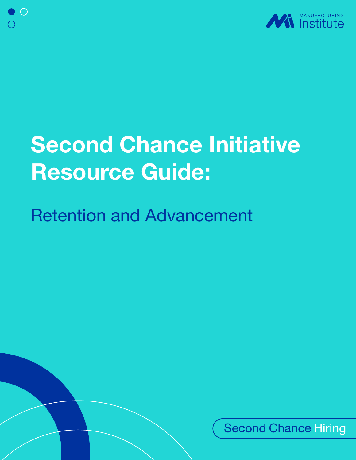

## Second Chance Initiative Resource Guide:

## Retention and Advancement

**Second Chance Hiring**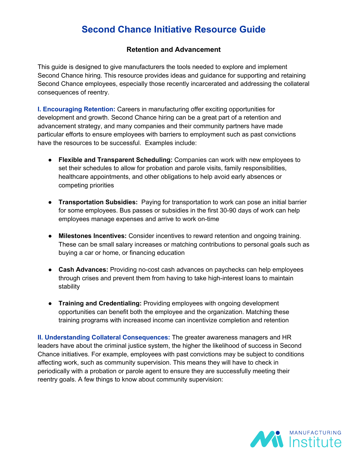## **Second Chance Initiative Resource Guide**

## **Retention and Advancement**

This guide is designed to give manufacturers the tools needed to explore and implement Second Chance hiring. This resource provides ideas and guidance for supporting and retaining Second Chance employees, especially those recently incarcerated and addressing the collateral consequences of reentry.

**I. Encouraging Retention:** Careers in manufacturing offer exciting opportunities for development and growth. Second Chance hiring can be a great part of a retention and advancement strategy, and many companies and their community partners have made particular efforts to ensure employees with barriers to employment such as past convictions have the resources to be successful. Examples include:

- **Flexible and Transparent Scheduling:** Companies can work with new employees to set their schedules to allow for probation and parole visits, family responsibilities, healthcare appointments, and other obligations to help avoid early absences or competing priorities
- **Transportation Subsidies:** Paying for transportation to work can pose an initial barrier for some employees. Bus passes or subsidies in the first 30-90 days of work can help employees manage expenses and arrive to work on-time
- **Milestones Incentives:** Consider incentives to reward retention and ongoing training. These can be small salary increases or matching contributions to personal goals such as buying a car or home, or financing education
- **Cash Advances:** Providing no-cost cash advances on paychecks can help employees through crises and prevent them from having to take high-interest loans to maintain stability
- **Training and Credentialing:** Providing employees with ongoing development opportunities can benefit both the employee and the organization. Matching these training programs with increased income can incentivize completion and retention

**II. Understanding Collateral Consequences:** The greater awareness managers and HR leaders have about the criminal justice system, the higher the likelihood of success in Second Chance initiatives. For example, employees with past convictions may be subject to conditions affecting work, such as community supervision. This means they will have to check in periodically with a probation or parole agent to ensure they are successfully meeting their reentry goals. A few things to know about community supervision:

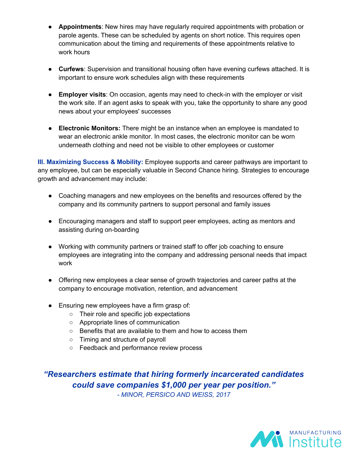- **Appointments**: New hires may have regularly required appointments with probation or parole agents. These can be scheduled by agents on short notice. This requires open communication about the timing and requirements of these appointments relative to work hours
- **Curfews**: Supervision and transitional housing often have evening curfews attached. It is important to ensure work schedules align with these requirements
- **Employer visits**: On occasion, agents may need to check-in with the employer or visit the work site. If an agent asks to speak with you, take the opportunity to share any good news about your employees' successes
- **Electronic Monitors:** There might be an instance when an employee is mandated to wear an electronic ankle monitor. In most cases, the electronic monitor can be worn underneath clothing and need not be visible to other employees or customer

**III. Maximizing Success & Mobility:** Employee supports and career pathways are important to any employee, but can be especially valuable in Second Chance hiring. Strategies to encourage growth and advancement may include:

- Coaching managers and new employees on the benefits and resources offered by the company and its community partners to support personal and family issues
- Encouraging managers and staff to support peer employees, acting as mentors and assisting during on-boarding
- Working with community partners or trained staff to offer job coaching to ensure employees are integrating into the company and addressing personal needs that impact work
- Offering new employees a clear sense of growth trajectories and career paths at the company to encourage motivation, retention, and advancement
- Ensuring new employees have a firm grasp of:
	- Their role and specific job expectations
	- Appropriate lines of communication
	- Benefits that are available to them and how to access them
	- Timing and structure of payroll
	- Feedback and performance review process

*"Researchers estimate that hiring formerly incarcerated candidates could save companies \$1,000 per year per position." - MINOR, PERSICO AND WEISS, 2017*